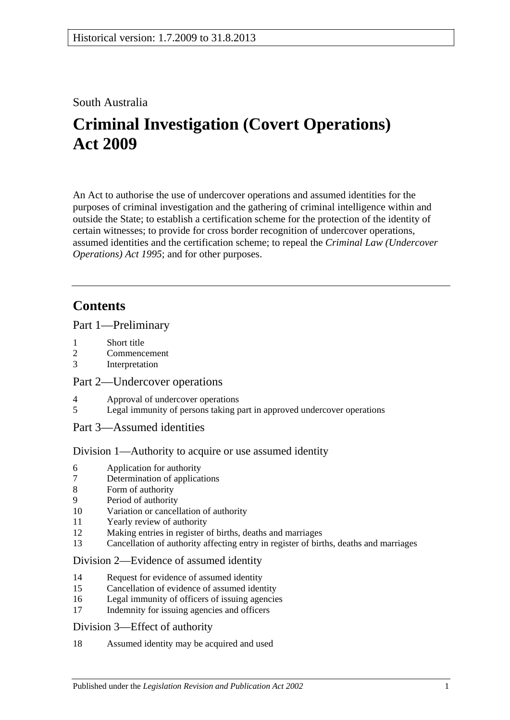## South Australia

# **Criminal Investigation (Covert Operations) Act 2009**

An Act to authorise the use of undercover operations and assumed identities for the purposes of criminal investigation and the gathering of criminal intelligence within and outside the State; to establish a certification scheme for the protection of the identity of certain witnesses; to provide for cross border recognition of undercover operations, assumed identities and the certification scheme; to repeal the *[Criminal Law \(Undercover](http://www.legislation.sa.gov.au/index.aspx?action=legref&type=act&legtitle=Criminal%20Law%20(Undercover%20Operations)%20Act%201995)  [Operations\) Act](http://www.legislation.sa.gov.au/index.aspx?action=legref&type=act&legtitle=Criminal%20Law%20(Undercover%20Operations)%20Act%201995) 1995*; and for other purposes.

## **Contents**

#### [Part 1—Preliminary](#page-2-0)

- 1 [Short title](#page-2-1)
- 2 [Commencement](#page-2-2)
- 3 [Interpretation](#page-2-3)

## [Part 2—Undercover operations](#page-6-0)

- 4 [Approval of undercover operations](#page-6-1)<br>5 Legal immunity of persons taking r
- [Legal immunity of persons taking part in approved undercover operations](#page-7-0)

## [Part 3—Assumed identities](#page-8-0)

#### [Division 1—Authority to acquire or use assumed identity](#page-8-1)

- 6 [Application for authority](#page-8-2)
- 7 [Determination of applications](#page-8-3)
- 8 [Form of authority](#page-9-0)
- 9 [Period of authority](#page-10-0)
- 10 [Variation or cancellation of authority](#page-10-1)
- 11 [Yearly review of authority](#page-10-2)
- 12 [Making entries in register of births, deaths and marriages](#page-11-0)
- 13 [Cancellation of authority affecting entry in register of births, deaths and marriages](#page-11-1)

#### [Division 2—Evidence of assumed identity](#page-12-0)

- 14 [Request for evidence of assumed identity](#page-12-1)
- 15 [Cancellation of evidence of assumed identity](#page-12-2)
- 16 [Legal immunity of officers of issuing agencies](#page-12-3)
- 17 [Indemnity for issuing agencies and officers](#page-13-0)

#### [Division 3—Effect of authority](#page-13-1)

18 [Assumed identity may be acquired and used](#page-13-2)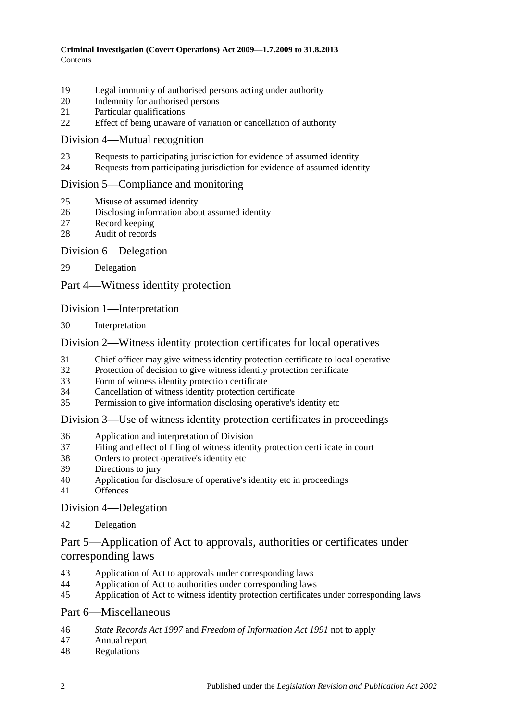- [Legal immunity of authorised persons acting under authority](#page-13-3)
- [Indemnity for authorised persons](#page-13-4)
- [Particular qualifications](#page-14-0)
- [Effect of being unaware of variation or cancellation of authority](#page-14-1)

#### [Division 4—Mutual recognition](#page-14-2)

- [Requests to participating jurisdiction for evidence of assumed identity](#page-14-3)
- [Requests from participating jurisdiction for evidence of assumed identity](#page-15-0)

#### [Division 5—Compliance and monitoring](#page-15-1)

- [Misuse of assumed identity](#page-15-2)
- [Disclosing information about assumed identity](#page-16-0)
- [Record keeping](#page-16-1)
- [Audit of records](#page-17-0)

#### [Division 6—Delegation](#page-17-1)

[Delegation](#page-17-2)

[Part 4—Witness identity protection](#page-18-0)

#### [Division 1—Interpretation](#page-18-1)

[Interpretation](#page-18-2)

#### [Division 2—Witness identity protection certificates for local operatives](#page-18-3)

- [Chief officer may give witness identity protection certificate to local operative](#page-18-4)
- [Protection of decision to give witness identity protection certificate](#page-19-0)
- [Form of witness identity protection certificate](#page-20-0)
- [Cancellation of witness identity protection certificate](#page-20-1)
- [Permission to give information disclosing operative's identity etc](#page-21-0)

#### [Division 3—Use of witness identity protection certificates in proceedings](#page-21-1)

- [Application and interpretation of Division](#page-21-2)
- [Filing and effect of filing of witness identity protection certificate in court](#page-21-3)
- [Orders to protect operative's identity etc](#page-23-0)
- [Directions to jury](#page-23-1)
- [Application for disclosure of operative's identity etc in proceedings](#page-23-2)
- [Offences](#page-24-0)

[Division 4—Delegation](#page-25-0)

[Delegation](#page-25-1)

## [Part 5—Application of Act to approvals, authorities or certificates under](#page-26-0)  [corresponding laws](#page-26-0)

- [Application of Act to approvals under corresponding laws](#page-26-1)
- [Application of Act to authorities under corresponding laws](#page-26-2)<br>45 Application of Act to witness identity protection certificates
- [Application of Act to witness identity protection certificates under corresponding laws](#page-26-3)

#### [Part 6—Miscellaneous](#page-26-4)

- *State Records Act 1997* and *[Freedom of Information Act](#page-26-5) 1991* not to apply
- [Annual report](#page-27-0)
- [Regulations](#page-28-0)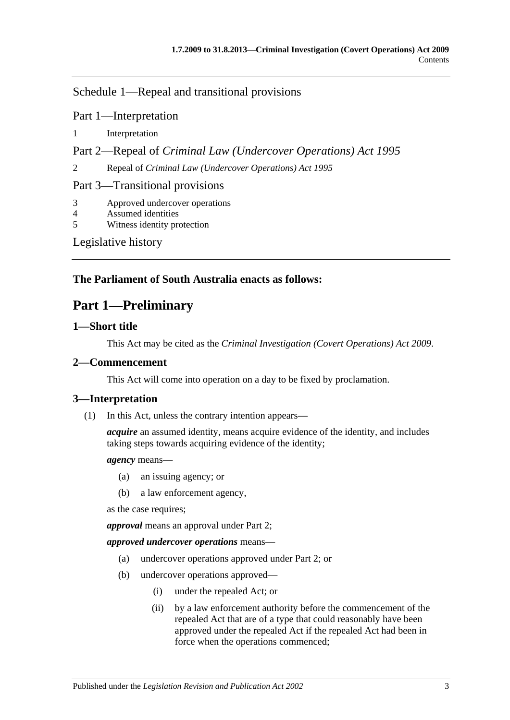[Schedule 1—Repeal and transitional provisions](#page-28-1)

Part 1—Interpretation

1 [Interpretation](#page-28-2)

Part 2—Repeal of *Criminal Law (Undercover Operations) Act 1995*

2 Repeal of *[Criminal Law \(Undercover Operations\) Act](#page-28-3) 1995*

Part 3—Transitional provisions

3 [Approved undercover operations](#page-28-4)

4 [Assumed identities](#page-29-0)

5 [Witness identity protection](#page-29-1)

[Legislative history](#page-30-0)

## <span id="page-2-0"></span>**The Parliament of South Australia enacts as follows:**

## **Part 1—Preliminary**

## <span id="page-2-1"></span>**1—Short title**

This Act may be cited as the *Criminal Investigation (Covert Operations) Act 2009*.

### <span id="page-2-2"></span>**2—Commencement**

This Act will come into operation on a day to be fixed by proclamation.

## <span id="page-2-3"></span>**3—Interpretation**

(1) In this Act, unless the contrary intention appears—

*acquire* an assumed identity, means acquire evidence of the identity, and includes taking steps towards acquiring evidence of the identity;

#### *agency* means—

- (a) an issuing agency; or
- (b) a law enforcement agency,

as the case requires;

*approval* means an approval under [Part 2;](#page-6-0)

*approved undercover operations* means—

- (a) undercover operations approved under [Part 2;](#page-6-0) or
- (b) undercover operations approved—
	- (i) under the repealed Act; or
	- (ii) by a law enforcement authority before the commencement of the repealed Act that are of a type that could reasonably have been approved under the repealed Act if the repealed Act had been in force when the operations commenced;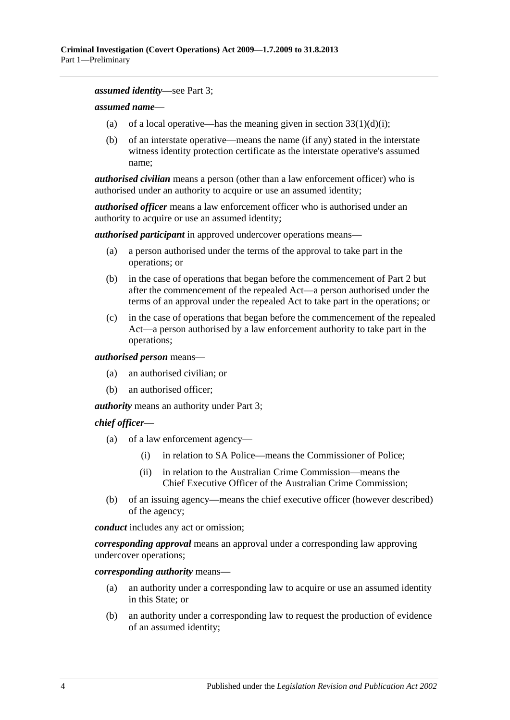#### *assumed identity*—see [Part 3;](#page-8-0)

#### *assumed name*—

- (a) of a local operative—has the meaning given in section  $33(1)(d)(i)$ ;
- (b) of an interstate operative—means the name (if any) stated in the interstate witness identity protection certificate as the interstate operative's assumed name;

*authorised civilian* means a person (other than a law enforcement officer) who is authorised under an authority to acquire or use an assumed identity;

*authorised officer* means a law enforcement officer who is authorised under an authority to acquire or use an assumed identity;

*authorised participant* in approved undercover operations means—

- (a) a person authorised under the terms of the approval to take part in the operations; or
- (b) in the case of operations that began before the commencement of [Part 2](#page-6-0) but after the commencement of the repealed Act—a person authorised under the terms of an approval under the repealed Act to take part in the operations; or
- (c) in the case of operations that began before the commencement of the repealed Act—a person authorised by a law enforcement authority to take part in the operations;

#### *authorised person* means—

- (a) an authorised civilian; or
- (b) an authorised officer;

*authority* means an authority under [Part 3;](#page-8-0)

#### *chief officer*—

- (a) of a law enforcement agency—
	- (i) in relation to SA Police—means the Commissioner of Police;
	- (ii) in relation to the Australian Crime Commission—means the Chief Executive Officer of the Australian Crime Commission;
- (b) of an issuing agency—means the chief executive officer (however described) of the agency;

*conduct* includes any act or omission;

*corresponding approval* means an approval under a corresponding law approving undercover operations;

*corresponding authority* means—

- (a) an authority under a corresponding law to acquire or use an assumed identity in this State; or
- (b) an authority under a corresponding law to request the production of evidence of an assumed identity;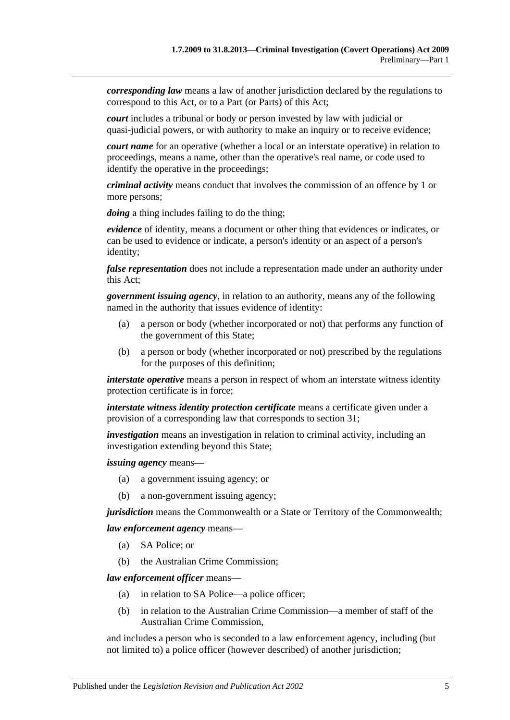*corresponding law* means a law of another jurisdiction declared by the regulations to correspond to this Act, or to a Part (or Parts) of this Act;

*court* includes a tribunal or body or person invested by law with judicial or quasi-judicial powers, or with authority to make an inquiry or to receive evidence;

*court name* for an operative (whether a local or an interstate operative) in relation to proceedings, means a name, other than the operative's real name, or code used to identify the operative in the proceedings;

*criminal activity* means conduct that involves the commission of an offence by 1 or more persons;

*doing* a thing includes failing to do the thing;

*evidence* of identity, means a document or other thing that evidences or indicates, or can be used to evidence or indicate, a person's identity or an aspect of a person's identity;

*false representation* does not include a representation made under an authority under this Act;

*government issuing agency*, in relation to an authority, means any of the following named in the authority that issues evidence of identity:

- (a) a person or body (whether incorporated or not) that performs any function of the government of this State;
- (b) a person or body (whether incorporated or not) prescribed by the regulations for the purposes of this definition;

*interstate operative* means a person in respect of whom an interstate witness identity protection certificate is in force;

*interstate witness identity protection certificate* means a certificate given under a provision of a corresponding law that corresponds to [section](#page-18-4) 31;

*investigation* means an investigation in relation to criminal activity, including an investigation extending beyond this State;

*issuing agency* means—

- (a) a government issuing agency; or
- (b) a non-government issuing agency;

*jurisdiction* means the Commonwealth or a State or Territory of the Commonwealth;

*law enforcement agency* means—

- (a) SA Police; or
- (b) the Australian Crime Commission;

*law enforcement officer* means—

- (a) in relation to SA Police—a police officer;
- (b) in relation to the Australian Crime Commission—a member of staff of the Australian Crime Commission,

and includes a person who is seconded to a law enforcement agency, including (but not limited to) a police officer (however described) of another jurisdiction;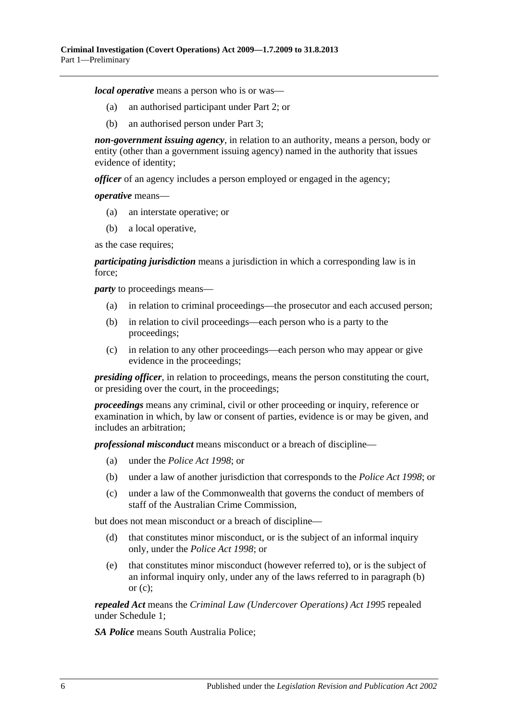*local operative* means a person who is or was—

- (a) an authorised participant under [Part 2;](#page-6-0) or
- (b) an authorised person under [Part 3;](#page-8-0)

*non-government issuing agency*, in relation to an authority, means a person, body or entity (other than a government issuing agency) named in the authority that issues evidence of identity;

*officer* of an agency includes a person employed or engaged in the agency;

*operative* means—

- (a) an interstate operative; or
- (b) a local operative,

as the case requires;

*participating jurisdiction* means a jurisdiction in which a corresponding law is in force;

<span id="page-5-0"></span>*party* to proceedings means—

- (a) in relation to criminal proceedings—the prosecutor and each accused person;
- (b) in relation to civil proceedings—each person who is a party to the proceedings;
- <span id="page-5-1"></span>(c) in relation to any other proceedings—each person who may appear or give evidence in the proceedings;

*presiding officer*, in relation to proceedings, means the person constituting the court, or presiding over the court, in the proceedings;

*proceedings* means any criminal, civil or other proceeding or inquiry, reference or examination in which, by law or consent of parties, evidence is or may be given, and includes an arbitration;

*professional misconduct* means misconduct or a breach of discipline—

- (a) under the *[Police Act](http://www.legislation.sa.gov.au/index.aspx?action=legref&type=act&legtitle=Police%20Act%201998) 1998*; or
- (b) under a law of another jurisdiction that corresponds to the *[Police Act](http://www.legislation.sa.gov.au/index.aspx?action=legref&type=act&legtitle=Police%20Act%201998) 1998*; or
- (c) under a law of the Commonwealth that governs the conduct of members of staff of the Australian Crime Commission,

but does not mean misconduct or a breach of discipline—

- (d) that constitutes minor misconduct, or is the subject of an informal inquiry only, under the *[Police Act](http://www.legislation.sa.gov.au/index.aspx?action=legref&type=act&legtitle=Police%20Act%201998) 1998*; or
- (e) that constitutes minor misconduct (however referred to), or is the subject of an informal inquiry only, under any of the laws referred to in [paragraph](#page-5-0) (b) or  $(c)$ :

*repealed Act* means the *[Criminal Law \(Undercover Operations\) Act](http://www.legislation.sa.gov.au/index.aspx?action=legref&type=act&legtitle=Criminal%20Law%20(Undercover%20Operations)%20Act%201995) 1995* repealed under [Schedule 1;](#page-28-1)

*SA Police* means South Australia Police;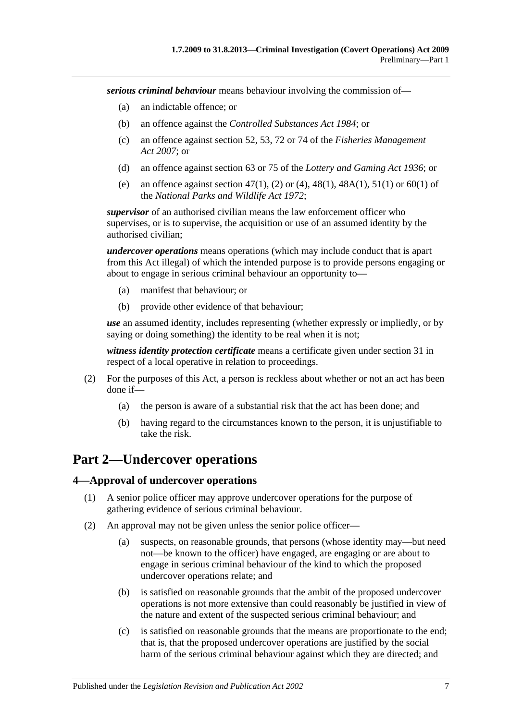*serious criminal behaviour* means behaviour involving the commission of—

- (a) an indictable offence; or
- (b) an offence against the *[Controlled Substances Act](http://www.legislation.sa.gov.au/index.aspx?action=legref&type=act&legtitle=Controlled%20Substances%20Act%201984) 1984*; or
- (c) an offence against section 52, 53, 72 or 74 of the *[Fisheries Management](http://www.legislation.sa.gov.au/index.aspx?action=legref&type=act&legtitle=Fisheries%20Management%20Act%202007)  Act [2007](http://www.legislation.sa.gov.au/index.aspx?action=legref&type=act&legtitle=Fisheries%20Management%20Act%202007)*; or
- (d) an offence against section 63 or 75 of the *[Lottery and Gaming Act](http://www.legislation.sa.gov.au/index.aspx?action=legref&type=act&legtitle=Lottery%20and%20Gaming%20Act%201936) 1936*; or
- (e) an offence against section 47(1), (2) or (4), 48(1), 48A(1), 51(1) or 60(1) of the *[National Parks and Wildlife Act](http://www.legislation.sa.gov.au/index.aspx?action=legref&type=act&legtitle=National%20Parks%20and%20Wildlife%20Act%201972) 1972*;

*supervisor* of an authorised civilian means the law enforcement officer who supervises, or is to supervise, the acquisition or use of an assumed identity by the authorised civilian;

*undercover operations* means operations (which may include conduct that is apart from this Act illegal) of which the intended purpose is to provide persons engaging or about to engage in serious criminal behaviour an opportunity to—

- (a) manifest that behaviour; or
- (b) provide other evidence of that behaviour;

*use* an assumed identity, includes representing (whether expressly or impliedly, or by saying or doing something) the identity to be real when it is not;

*witness identity protection certificate* means a certificate given under [section](#page-18-4) 31 in respect of a local operative in relation to proceedings.

- (2) For the purposes of this Act, a person is reckless about whether or not an act has been done if—
	- (a) the person is aware of a substantial risk that the act has been done; and
	- (b) having regard to the circumstances known to the person, it is unjustifiable to take the risk.

## <span id="page-6-0"></span>**Part 2—Undercover operations**

#### <span id="page-6-1"></span>**4—Approval of undercover operations**

- (1) A senior police officer may approve undercover operations for the purpose of gathering evidence of serious criminal behaviour.
- (2) An approval may not be given unless the senior police officer—
	- (a) suspects, on reasonable grounds, that persons (whose identity may—but need not—be known to the officer) have engaged, are engaging or are about to engage in serious criminal behaviour of the kind to which the proposed undercover operations relate; and
	- (b) is satisfied on reasonable grounds that the ambit of the proposed undercover operations is not more extensive than could reasonably be justified in view of the nature and extent of the suspected serious criminal behaviour; and
	- (c) is satisfied on reasonable grounds that the means are proportionate to the end; that is, that the proposed undercover operations are justified by the social harm of the serious criminal behaviour against which they are directed; and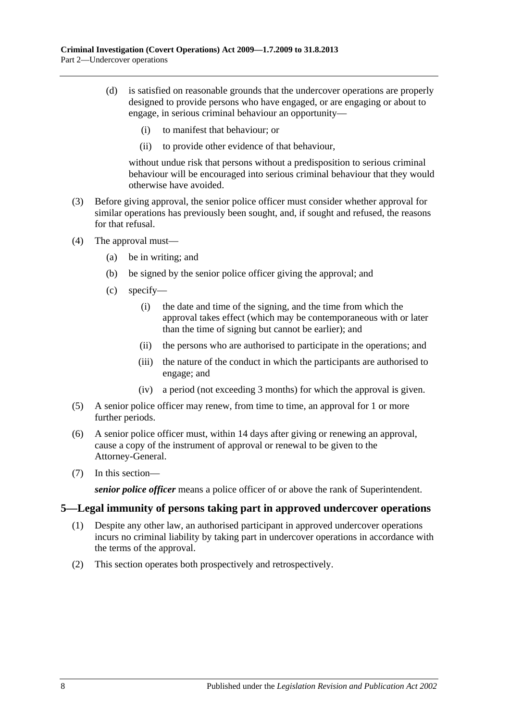- (d) is satisfied on reasonable grounds that the undercover operations are properly designed to provide persons who have engaged, or are engaging or about to engage, in serious criminal behaviour an opportunity—
	- (i) to manifest that behaviour; or
	- (ii) to provide other evidence of that behaviour,

without undue risk that persons without a predisposition to serious criminal behaviour will be encouraged into serious criminal behaviour that they would otherwise have avoided.

- (3) Before giving approval, the senior police officer must consider whether approval for similar operations has previously been sought, and, if sought and refused, the reasons for that refusal.
- (4) The approval must—
	- (a) be in writing; and
	- (b) be signed by the senior police officer giving the approval; and
	- (c) specify—
		- (i) the date and time of the signing, and the time from which the approval takes effect (which may be contemporaneous with or later than the time of signing but cannot be earlier); and
		- (ii) the persons who are authorised to participate in the operations; and
		- (iii) the nature of the conduct in which the participants are authorised to engage; and
		- (iv) a period (not exceeding 3 months) for which the approval is given.
- (5) A senior police officer may renew, from time to time, an approval for 1 or more further periods.
- (6) A senior police officer must, within 14 days after giving or renewing an approval, cause a copy of the instrument of approval or renewal to be given to the Attorney-General.
- (7) In this section—

*senior police officer* means a police officer of or above the rank of Superintendent.

#### <span id="page-7-0"></span>**5—Legal immunity of persons taking part in approved undercover operations**

- (1) Despite any other law, an authorised participant in approved undercover operations incurs no criminal liability by taking part in undercover operations in accordance with the terms of the approval.
- (2) This section operates both prospectively and retrospectively.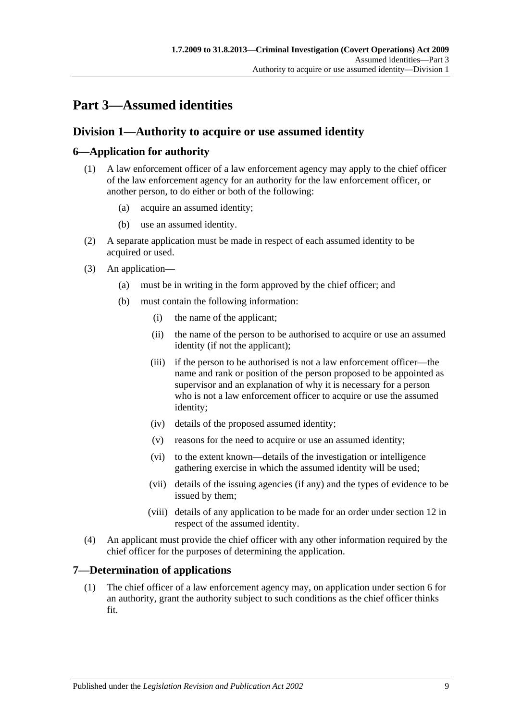# <span id="page-8-0"></span>**Part 3—Assumed identities**

## <span id="page-8-1"></span>**Division 1—Authority to acquire or use assumed identity**

## <span id="page-8-2"></span>**6—Application for authority**

- (1) A law enforcement officer of a law enforcement agency may apply to the chief officer of the law enforcement agency for an authority for the law enforcement officer, or another person, to do either or both of the following:
	- (a) acquire an assumed identity;
	- (b) use an assumed identity.
- (2) A separate application must be made in respect of each assumed identity to be acquired or used.
- (3) An application—
	- (a) must be in writing in the form approved by the chief officer; and
	- (b) must contain the following information:
		- (i) the name of the applicant;
		- (ii) the name of the person to be authorised to acquire or use an assumed identity (if not the applicant);
		- (iii) if the person to be authorised is not a law enforcement officer—the name and rank or position of the person proposed to be appointed as supervisor and an explanation of why it is necessary for a person who is not a law enforcement officer to acquire or use the assumed identity;
		- (iv) details of the proposed assumed identity;
		- (v) reasons for the need to acquire or use an assumed identity;
		- (vi) to the extent known—details of the investigation or intelligence gathering exercise in which the assumed identity will be used;
		- (vii) details of the issuing agencies (if any) and the types of evidence to be issued by them;
		- (viii) details of any application to be made for an order under [section](#page-11-0) 12 in respect of the assumed identity.
- (4) An applicant must provide the chief officer with any other information required by the chief officer for the purposes of determining the application.

#### <span id="page-8-3"></span>**7—Determination of applications**

(1) The chief officer of a law enforcement agency may, on application under [section](#page-8-2) 6 for an authority, grant the authority subject to such conditions as the chief officer thinks fit.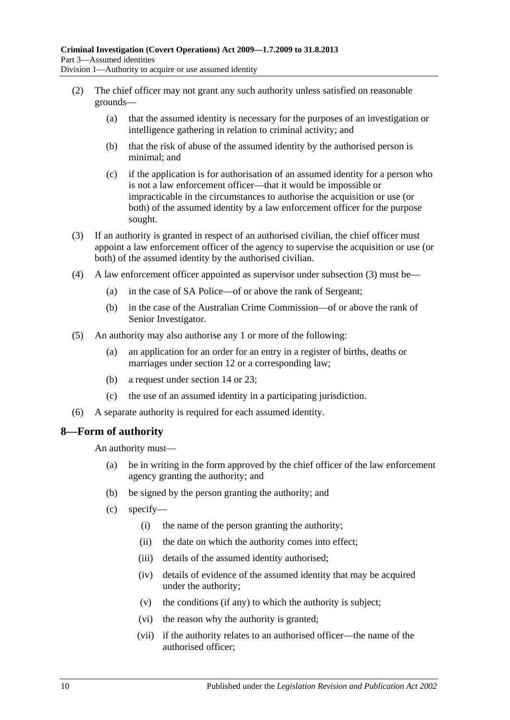- (2) The chief officer may not grant any such authority unless satisfied on reasonable grounds—
	- (a) that the assumed identity is necessary for the purposes of an investigation or intelligence gathering in relation to criminal activity; and
	- (b) that the risk of abuse of the assumed identity by the authorised person is minimal; and
	- (c) if the application is for authorisation of an assumed identity for a person who is not a law enforcement officer—that it would be impossible or impracticable in the circumstances to authorise the acquisition or use (or both) of the assumed identity by a law enforcement officer for the purpose sought.
- <span id="page-9-1"></span>(3) If an authority is granted in respect of an authorised civilian, the chief officer must appoint a law enforcement officer of the agency to supervise the acquisition or use (or both) of the assumed identity by the authorised civilian.
- (4) A law enforcement officer appointed as supervisor under [subsection](#page-9-1) (3) must be—
	- (a) in the case of SA Police—of or above the rank of Sergeant;
	- (b) in the case of the Australian Crime Commission—of or above the rank of Senior Investigator.
- (5) An authority may also authorise any 1 or more of the following:
	- (a) an application for an order for an entry in a register of births, deaths or marriages under [section](#page-11-0) 12 or a corresponding law;
	- (b) a request under [section](#page-12-1) 14 or [23;](#page-14-3)
	- (c) the use of an assumed identity in a participating jurisdiction.
- (6) A separate authority is required for each assumed identity.

#### <span id="page-9-0"></span>**8—Form of authority**

An authority must—

- (a) be in writing in the form approved by the chief officer of the law enforcement agency granting the authority; and
- (b) be signed by the person granting the authority; and
- (c) specify—
	- (i) the name of the person granting the authority;
	- (ii) the date on which the authority comes into effect;
	- (iii) details of the assumed identity authorised;
	- (iv) details of evidence of the assumed identity that may be acquired under the authority;
	- (v) the conditions (if any) to which the authority is subject;
	- (vi) the reason why the authority is granted;
	- (vii) if the authority relates to an authorised officer—the name of the authorised officer;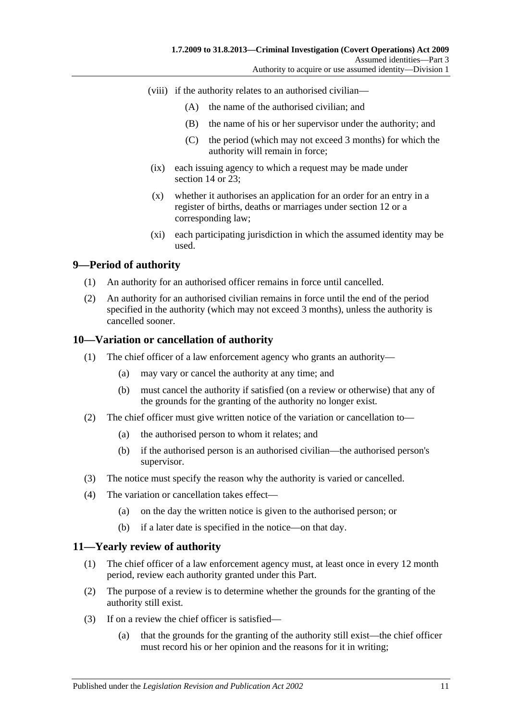- (viii) if the authority relates to an authorised civilian—
	- (A) the name of the authorised civilian; and
	- (B) the name of his or her supervisor under the authority; and
	- (C) the period (which may not exceed 3 months) for which the authority will remain in force;
- (ix) each issuing agency to which a request may be made under [section](#page-12-1) 14 or [23;](#page-14-3)
- (x) whether it authorises an application for an order for an entry in a register of births, deaths or marriages under [section](#page-11-0) 12 or a corresponding law;
- (xi) each participating jurisdiction in which the assumed identity may be used.

## <span id="page-10-0"></span>**9—Period of authority**

- (1) An authority for an authorised officer remains in force until cancelled.
- (2) An authority for an authorised civilian remains in force until the end of the period specified in the authority (which may not exceed 3 months), unless the authority is cancelled sooner.

#### <span id="page-10-1"></span>**10—Variation or cancellation of authority**

- (1) The chief officer of a law enforcement agency who grants an authority—
	- (a) may vary or cancel the authority at any time; and
	- (b) must cancel the authority if satisfied (on a review or otherwise) that any of the grounds for the granting of the authority no longer exist.
- (2) The chief officer must give written notice of the variation or cancellation to—
	- (a) the authorised person to whom it relates; and
	- (b) if the authorised person is an authorised civilian—the authorised person's supervisor.
- (3) The notice must specify the reason why the authority is varied or cancelled.
- (4) The variation or cancellation takes effect—
	- (a) on the day the written notice is given to the authorised person; or
	- (b) if a later date is specified in the notice—on that day.

#### <span id="page-10-2"></span>**11—Yearly review of authority**

- (1) The chief officer of a law enforcement agency must, at least once in every 12 month period, review each authority granted under this Part.
- (2) The purpose of a review is to determine whether the grounds for the granting of the authority still exist.
- (3) If on a review the chief officer is satisfied—
	- (a) that the grounds for the granting of the authority still exist—the chief officer must record his or her opinion and the reasons for it in writing;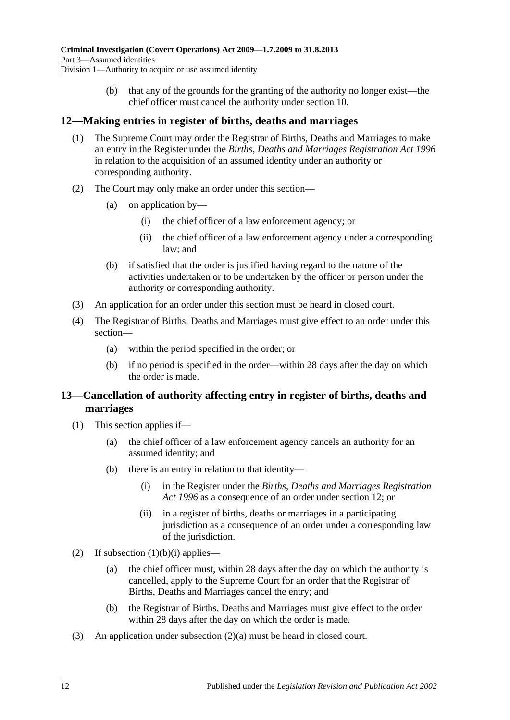(b) that any of the grounds for the granting of the authority no longer exist—the chief officer must cancel the authority under [section](#page-10-1) 10.

## <span id="page-11-0"></span>**12—Making entries in register of births, deaths and marriages**

- (1) The Supreme Court may order the Registrar of Births, Deaths and Marriages to make an entry in the Register under the *[Births, Deaths and Marriages Registration Act](http://www.legislation.sa.gov.au/index.aspx?action=legref&type=act&legtitle=Births%20Deaths%20and%20Marriages%20Registration%20Act%201996) 1996* in relation to the acquisition of an assumed identity under an authority or corresponding authority.
- (2) The Court may only make an order under this section—
	- (a) on application by—
		- (i) the chief officer of a law enforcement agency; or
		- (ii) the chief officer of a law enforcement agency under a corresponding law; and
	- (b) if satisfied that the order is justified having regard to the nature of the activities undertaken or to be undertaken by the officer or person under the authority or corresponding authority.
- (3) An application for an order under this section must be heard in closed court.
- (4) The Registrar of Births, Deaths and Marriages must give effect to an order under this section—
	- (a) within the period specified in the order; or
	- (b) if no period is specified in the order—within 28 days after the day on which the order is made.

## <span id="page-11-1"></span>**13—Cancellation of authority affecting entry in register of births, deaths and marriages**

- <span id="page-11-2"></span>(1) This section applies if—
	- (a) the chief officer of a law enforcement agency cancels an authority for an assumed identity; and
	- (b) there is an entry in relation to that identity—
		- (i) in the Register under the *[Births, Deaths and Marriages Registration](http://www.legislation.sa.gov.au/index.aspx?action=legref&type=act&legtitle=Births%20Deaths%20and%20Marriages%20Registration%20Act%201996)  Act [1996](http://www.legislation.sa.gov.au/index.aspx?action=legref&type=act&legtitle=Births%20Deaths%20and%20Marriages%20Registration%20Act%201996)* as a consequence of an order under [section](#page-11-0) 12; or
		- (ii) in a register of births, deaths or marriages in a participating jurisdiction as a consequence of an order under a corresponding law of the jurisdiction.
- <span id="page-11-4"></span><span id="page-11-3"></span>(2) If [subsection](#page-11-2)  $(1)(b)(i)$  applies—
	- (a) the chief officer must, within 28 days after the day on which the authority is cancelled, apply to the Supreme Court for an order that the Registrar of Births, Deaths and Marriages cancel the entry; and
	- (b) the Registrar of Births, Deaths and Marriages must give effect to the order within 28 days after the day on which the order is made.
- (3) An application under [subsection](#page-11-3) (2)(a) must be heard in closed court.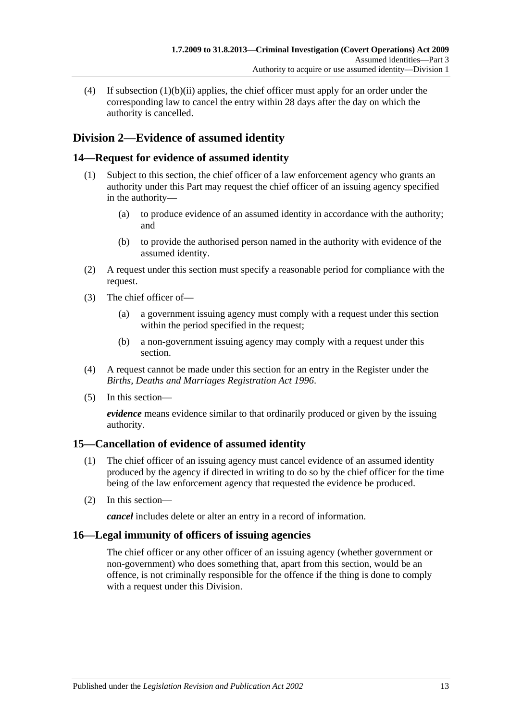(4) If [subsection](#page-11-4) (1)(b)(ii) applies, the chief officer must apply for an order under the corresponding law to cancel the entry within 28 days after the day on which the authority is cancelled.

## <span id="page-12-0"></span>**Division 2—Evidence of assumed identity**

## <span id="page-12-1"></span>**14—Request for evidence of assumed identity**

- (1) Subject to this section, the chief officer of a law enforcement agency who grants an authority under this Part may request the chief officer of an issuing agency specified in the authority—
	- (a) to produce evidence of an assumed identity in accordance with the authority; and
	- (b) to provide the authorised person named in the authority with evidence of the assumed identity.
- (2) A request under this section must specify a reasonable period for compliance with the request.
- (3) The chief officer of—
	- (a) a government issuing agency must comply with a request under this section within the period specified in the request;
	- (b) a non-government issuing agency may comply with a request under this section.
- (4) A request cannot be made under this section for an entry in the Register under the *[Births, Deaths and Marriages Registration Act](http://www.legislation.sa.gov.au/index.aspx?action=legref&type=act&legtitle=Births%20Deaths%20and%20Marriages%20Registration%20Act%201996) 1996*.
- (5) In this section—

*evidence* means evidence similar to that ordinarily produced or given by the issuing authority.

#### <span id="page-12-2"></span>**15—Cancellation of evidence of assumed identity**

- (1) The chief officer of an issuing agency must cancel evidence of an assumed identity produced by the agency if directed in writing to do so by the chief officer for the time being of the law enforcement agency that requested the evidence be produced.
- (2) In this section—

*cancel* includes delete or alter an entry in a record of information.

#### <span id="page-12-3"></span>**16—Legal immunity of officers of issuing agencies**

The chief officer or any other officer of an issuing agency (whether government or non-government) who does something that, apart from this section, would be an offence, is not criminally responsible for the offence if the thing is done to comply with a request under this Division.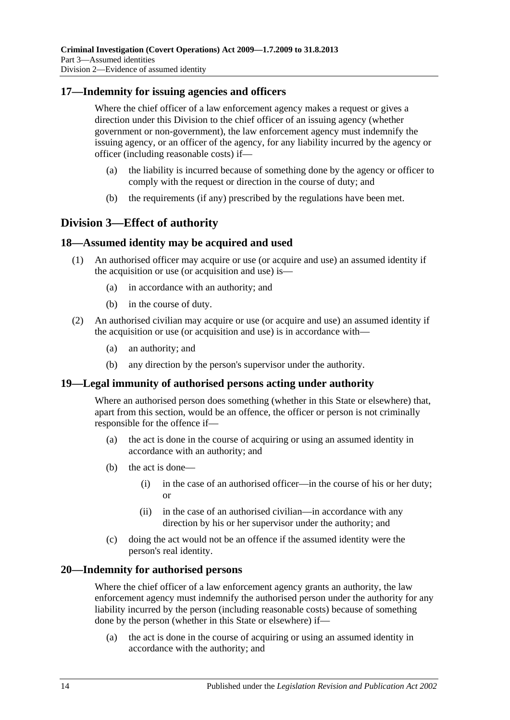#### <span id="page-13-0"></span>**17—Indemnity for issuing agencies and officers**

Where the chief officer of a law enforcement agency makes a request or gives a direction under this Division to the chief officer of an issuing agency (whether government or non-government), the law enforcement agency must indemnify the issuing agency, or an officer of the agency, for any liability incurred by the agency or officer (including reasonable costs) if—

- (a) the liability is incurred because of something done by the agency or officer to comply with the request or direction in the course of duty; and
- (b) the requirements (if any) prescribed by the regulations have been met.

## <span id="page-13-1"></span>**Division 3—Effect of authority**

#### <span id="page-13-2"></span>**18—Assumed identity may be acquired and used**

- (1) An authorised officer may acquire or use (or acquire and use) an assumed identity if the acquisition or use (or acquisition and use) is—
	- (a) in accordance with an authority; and
	- (b) in the course of duty.
- (2) An authorised civilian may acquire or use (or acquire and use) an assumed identity if the acquisition or use (or acquisition and use) is in accordance with—
	- (a) an authority; and
	- (b) any direction by the person's supervisor under the authority.

#### <span id="page-13-3"></span>**19—Legal immunity of authorised persons acting under authority**

Where an authorised person does something (whether in this State or elsewhere) that, apart from this section, would be an offence, the officer or person is not criminally responsible for the offence if—

- (a) the act is done in the course of acquiring or using an assumed identity in accordance with an authority; and
- (b) the act is done—
	- (i) in the case of an authorised officer—in the course of his or her duty; or
	- (ii) in the case of an authorised civilian—in accordance with any direction by his or her supervisor under the authority; and
- (c) doing the act would not be an offence if the assumed identity were the person's real identity.

#### <span id="page-13-4"></span>**20—Indemnity for authorised persons**

Where the chief officer of a law enforcement agency grants an authority, the law enforcement agency must indemnify the authorised person under the authority for any liability incurred by the person (including reasonable costs) because of something done by the person (whether in this State or elsewhere) if—

(a) the act is done in the course of acquiring or using an assumed identity in accordance with the authority; and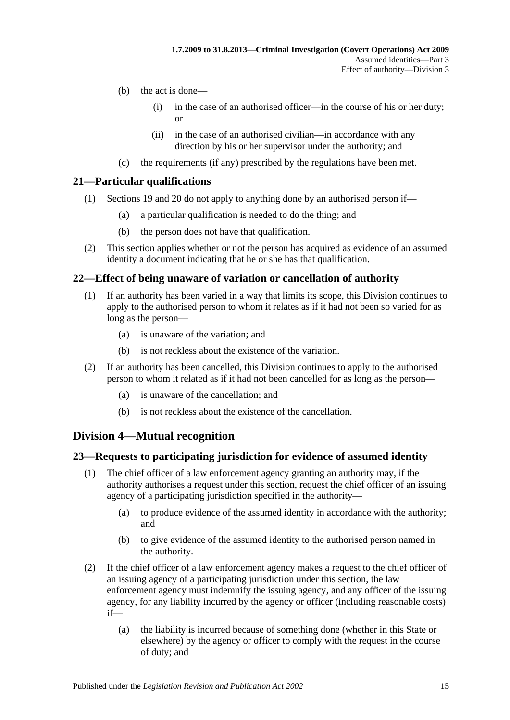- (b) the act is done—
	- (i) in the case of an authorised officer—in the course of his or her duty; or
	- (ii) in the case of an authorised civilian—in accordance with any direction by his or her supervisor under the authority; and
- (c) the requirements (if any) prescribed by the regulations have been met.

## <span id="page-14-0"></span>**21—Particular qualifications**

- (1) [Sections 19](#page-13-3) and [20](#page-13-4) do not apply to anything done by an authorised person if—
	- (a) a particular qualification is needed to do the thing; and
	- (b) the person does not have that qualification.
- (2) This section applies whether or not the person has acquired as evidence of an assumed identity a document indicating that he or she has that qualification.

## <span id="page-14-1"></span>**22—Effect of being unaware of variation or cancellation of authority**

- (1) If an authority has been varied in a way that limits its scope, this Division continues to apply to the authorised person to whom it relates as if it had not been so varied for as long as the person—
	- (a) is unaware of the variation; and
	- (b) is not reckless about the existence of the variation.
- (2) If an authority has been cancelled, this Division continues to apply to the authorised person to whom it related as if it had not been cancelled for as long as the person—
	- (a) is unaware of the cancellation; and
	- (b) is not reckless about the existence of the cancellation.

## <span id="page-14-2"></span>**Division 4—Mutual recognition**

#### <span id="page-14-3"></span>**23—Requests to participating jurisdiction for evidence of assumed identity**

- (1) The chief officer of a law enforcement agency granting an authority may, if the authority authorises a request under this section, request the chief officer of an issuing agency of a participating jurisdiction specified in the authority—
	- (a) to produce evidence of the assumed identity in accordance with the authority; and
	- (b) to give evidence of the assumed identity to the authorised person named in the authority.
- (2) If the chief officer of a law enforcement agency makes a request to the chief officer of an issuing agency of a participating jurisdiction under this section, the law enforcement agency must indemnify the issuing agency, and any officer of the issuing agency, for any liability incurred by the agency or officer (including reasonable costs) if—
	- (a) the liability is incurred because of something done (whether in this State or elsewhere) by the agency or officer to comply with the request in the course of duty; and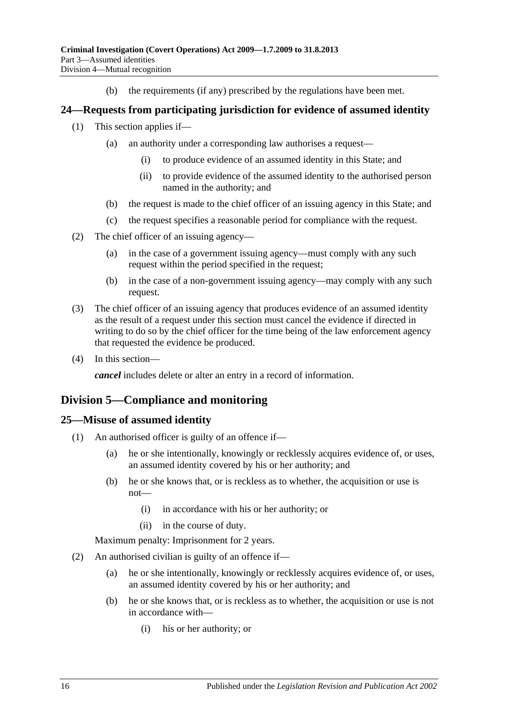(b) the requirements (if any) prescribed by the regulations have been met.

#### <span id="page-15-0"></span>**24—Requests from participating jurisdiction for evidence of assumed identity**

- (1) This section applies if—
	- (a) an authority under a corresponding law authorises a request—
		- (i) to produce evidence of an assumed identity in this State; and
		- (ii) to provide evidence of the assumed identity to the authorised person named in the authority; and
	- (b) the request is made to the chief officer of an issuing agency in this State; and
	- (c) the request specifies a reasonable period for compliance with the request.
- (2) The chief officer of an issuing agency—
	- (a) in the case of a government issuing agency—must comply with any such request within the period specified in the request;
	- (b) in the case of a non-government issuing agency—may comply with any such request.
- (3) The chief officer of an issuing agency that produces evidence of an assumed identity as the result of a request under this section must cancel the evidence if directed in writing to do so by the chief officer for the time being of the law enforcement agency that requested the evidence be produced.
- (4) In this section—

*cancel* includes delete or alter an entry in a record of information.

## <span id="page-15-1"></span>**Division 5—Compliance and monitoring**

#### <span id="page-15-2"></span>**25—Misuse of assumed identity**

- (1) An authorised officer is guilty of an offence if—
	- (a) he or she intentionally, knowingly or recklessly acquires evidence of, or uses, an assumed identity covered by his or her authority; and
	- (b) he or she knows that, or is reckless as to whether, the acquisition or use is not—
		- (i) in accordance with his or her authority; or
		- (ii) in the course of duty.

Maximum penalty: Imprisonment for 2 years.

- (2) An authorised civilian is guilty of an offence if—
	- (a) he or she intentionally, knowingly or recklessly acquires evidence of, or uses, an assumed identity covered by his or her authority; and
	- (b) he or she knows that, or is reckless as to whether, the acquisition or use is not in accordance with—
		- (i) his or her authority; or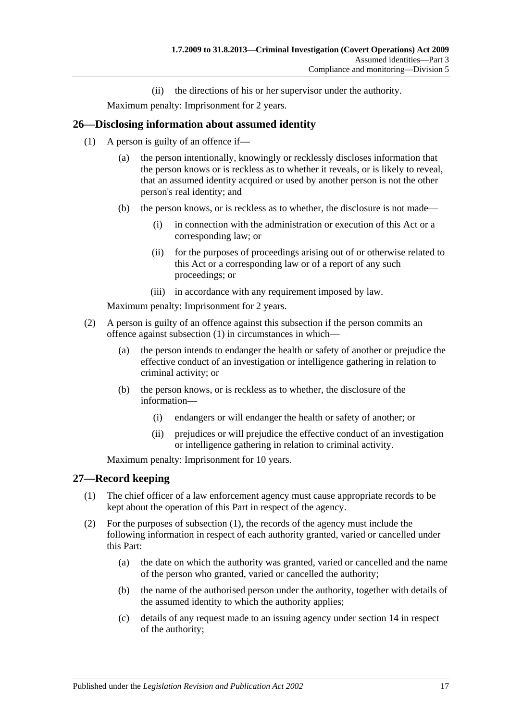(ii) the directions of his or her supervisor under the authority.

Maximum penalty: Imprisonment for 2 years.

#### <span id="page-16-2"></span><span id="page-16-0"></span>**26—Disclosing information about assumed identity**

- (1) A person is guilty of an offence if—
	- (a) the person intentionally, knowingly or recklessly discloses information that the person knows or is reckless as to whether it reveals, or is likely to reveal, that an assumed identity acquired or used by another person is not the other person's real identity; and
	- (b) the person knows, or is reckless as to whether, the disclosure is not made—
		- (i) in connection with the administration or execution of this Act or a corresponding law; or
		- (ii) for the purposes of proceedings arising out of or otherwise related to this Act or a corresponding law or of a report of any such proceedings; or
		- (iii) in accordance with any requirement imposed by law.

Maximum penalty: Imprisonment for 2 years.

- (2) A person is guilty of an offence against this subsection if the person commits an offence against [subsection](#page-16-2) (1) in circumstances in which—
	- (a) the person intends to endanger the health or safety of another or prejudice the effective conduct of an investigation or intelligence gathering in relation to criminal activity; or
	- (b) the person knows, or is reckless as to whether, the disclosure of the information—
		- (i) endangers or will endanger the health or safety of another; or
		- (ii) prejudices or will prejudice the effective conduct of an investigation or intelligence gathering in relation to criminal activity.

Maximum penalty: Imprisonment for 10 years.

#### <span id="page-16-3"></span><span id="page-16-1"></span>**27—Record keeping**

- (1) The chief officer of a law enforcement agency must cause appropriate records to be kept about the operation of this Part in respect of the agency.
- (2) For the purposes of [subsection](#page-16-3) (1), the records of the agency must include the following information in respect of each authority granted, varied or cancelled under this Part:
	- (a) the date on which the authority was granted, varied or cancelled and the name of the person who granted, varied or cancelled the authority;
	- (b) the name of the authorised person under the authority, together with details of the assumed identity to which the authority applies;
	- (c) details of any request made to an issuing agency under [section](#page-12-1) 14 in respect of the authority;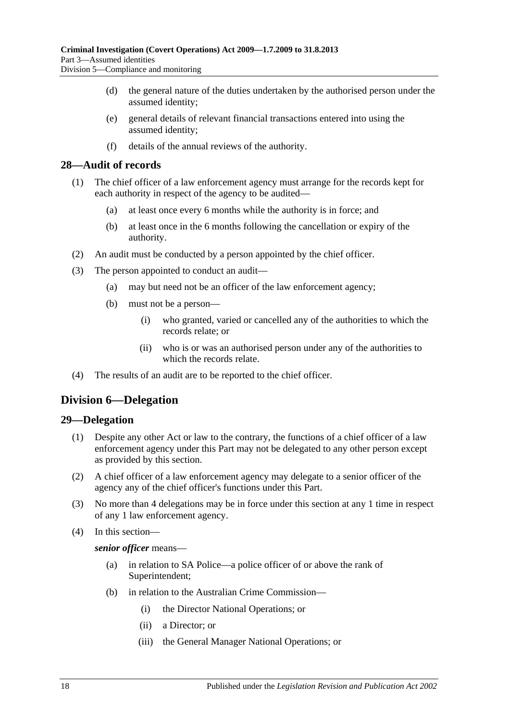- (d) the general nature of the duties undertaken by the authorised person under the assumed identity;
- (e) general details of relevant financial transactions entered into using the assumed identity;
- (f) details of the annual reviews of the authority.

#### <span id="page-17-0"></span>**28—Audit of records**

- (1) The chief officer of a law enforcement agency must arrange for the records kept for each authority in respect of the agency to be audited—
	- (a) at least once every 6 months while the authority is in force; and
	- (b) at least once in the 6 months following the cancellation or expiry of the authority.
- (2) An audit must be conducted by a person appointed by the chief officer.
- (3) The person appointed to conduct an audit—
	- (a) may but need not be an officer of the law enforcement agency;
	- (b) must not be a person—
		- (i) who granted, varied or cancelled any of the authorities to which the records relate; or
		- (ii) who is or was an authorised person under any of the authorities to which the records relate.
- (4) The results of an audit are to be reported to the chief officer.

## <span id="page-17-1"></span>**Division 6—Delegation**

#### <span id="page-17-2"></span>**29—Delegation**

- (1) Despite any other Act or law to the contrary, the functions of a chief officer of a law enforcement agency under this Part may not be delegated to any other person except as provided by this section.
- (2) A chief officer of a law enforcement agency may delegate to a senior officer of the agency any of the chief officer's functions under this Part.
- (3) No more than 4 delegations may be in force under this section at any 1 time in respect of any 1 law enforcement agency.
- (4) In this section—

#### *senior officer* means—

- (a) in relation to SA Police—a police officer of or above the rank of Superintendent;
- (b) in relation to the Australian Crime Commission—
	- (i) the Director National Operations; or
	- (ii) a Director; or
	- (iii) the General Manager National Operations; or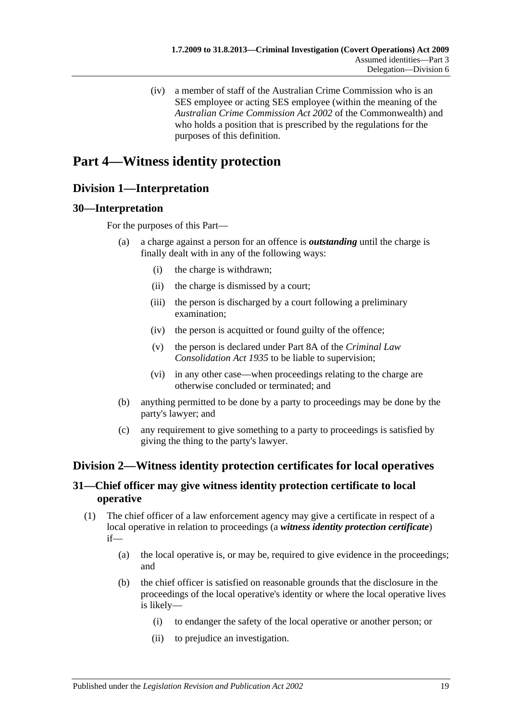(iv) a member of staff of the Australian Crime Commission who is an SES employee or acting SES employee (within the meaning of the *Australian Crime Commission Act 2002* of the Commonwealth) and who holds a position that is prescribed by the regulations for the purposes of this definition.

## <span id="page-18-0"></span>**Part 4—Witness identity protection**

## <span id="page-18-1"></span>**Division 1—Interpretation**

#### <span id="page-18-2"></span>**30—Interpretation**

For the purposes of this Part—

- (a) a charge against a person for an offence is *outstanding* until the charge is finally dealt with in any of the following ways:
	- (i) the charge is withdrawn;
	- (ii) the charge is dismissed by a court;
	- (iii) the person is discharged by a court following a preliminary examination;
	- (iv) the person is acquitted or found guilty of the offence;
	- (v) the person is declared under Part 8A of the *[Criminal Law](http://www.legislation.sa.gov.au/index.aspx?action=legref&type=act&legtitle=Criminal%20Law%20Consolidation%20Act%201935)  [Consolidation Act](http://www.legislation.sa.gov.au/index.aspx?action=legref&type=act&legtitle=Criminal%20Law%20Consolidation%20Act%201935) 1935* to be liable to supervision;
	- (vi) in any other case—when proceedings relating to the charge are otherwise concluded or terminated; and
- (b) anything permitted to be done by a party to proceedings may be done by the party's lawyer; and
- (c) any requirement to give something to a party to proceedings is satisfied by giving the thing to the party's lawyer.

## <span id="page-18-3"></span>**Division 2—Witness identity protection certificates for local operatives**

## <span id="page-18-4"></span>**31—Chief officer may give witness identity protection certificate to local operative**

- <span id="page-18-5"></span>(1) The chief officer of a law enforcement agency may give a certificate in respect of a local operative in relation to proceedings (a *witness identity protection certificate*) if—
	- (a) the local operative is, or may be, required to give evidence in the proceedings; and
	- (b) the chief officer is satisfied on reasonable grounds that the disclosure in the proceedings of the local operative's identity or where the local operative lives is likely—
		- (i) to endanger the safety of the local operative or another person; or
		- (ii) to prejudice an investigation.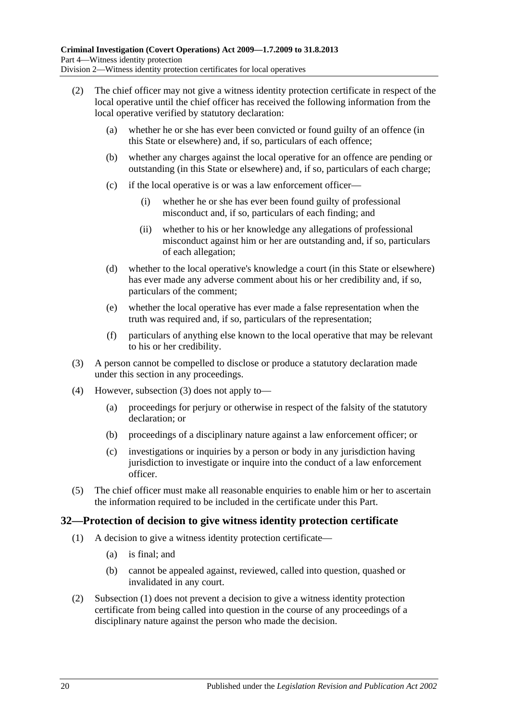- (2) The chief officer may not give a witness identity protection certificate in respect of the local operative until the chief officer has received the following information from the local operative verified by statutory declaration:
	- (a) whether he or she has ever been convicted or found guilty of an offence (in this State or elsewhere) and, if so, particulars of each offence;
	- (b) whether any charges against the local operative for an offence are pending or outstanding (in this State or elsewhere) and, if so, particulars of each charge;
	- (c) if the local operative is or was a law enforcement officer—
		- (i) whether he or she has ever been found guilty of professional misconduct and, if so, particulars of each finding; and
		- (ii) whether to his or her knowledge any allegations of professional misconduct against him or her are outstanding and, if so, particulars of each allegation;
	- (d) whether to the local operative's knowledge a court (in this State or elsewhere) has ever made any adverse comment about his or her credibility and, if so, particulars of the comment;
	- (e) whether the local operative has ever made a false representation when the truth was required and, if so, particulars of the representation;
	- (f) particulars of anything else known to the local operative that may be relevant to his or her credibility.
- <span id="page-19-1"></span>(3) A person cannot be compelled to disclose or produce a statutory declaration made under this section in any proceedings.
- (4) However, [subsection \(3\)](#page-19-1) does not apply to—
	- (a) proceedings for perjury or otherwise in respect of the falsity of the statutory declaration; or
	- (b) proceedings of a disciplinary nature against a law enforcement officer; or
	- (c) investigations or inquiries by a person or body in any jurisdiction having jurisdiction to investigate or inquire into the conduct of a law enforcement officer.
- (5) The chief officer must make all reasonable enquiries to enable him or her to ascertain the information required to be included in the certificate under this Part.

#### <span id="page-19-2"></span><span id="page-19-0"></span>**32—Protection of decision to give witness identity protection certificate**

- (1) A decision to give a witness identity protection certificate—
	- (a) is final; and
	- (b) cannot be appealed against, reviewed, called into question, quashed or invalidated in any court.
- (2) [Subsection \(1\)](#page-19-2) does not prevent a decision to give a witness identity protection certificate from being called into question in the course of any proceedings of a disciplinary nature against the person who made the decision.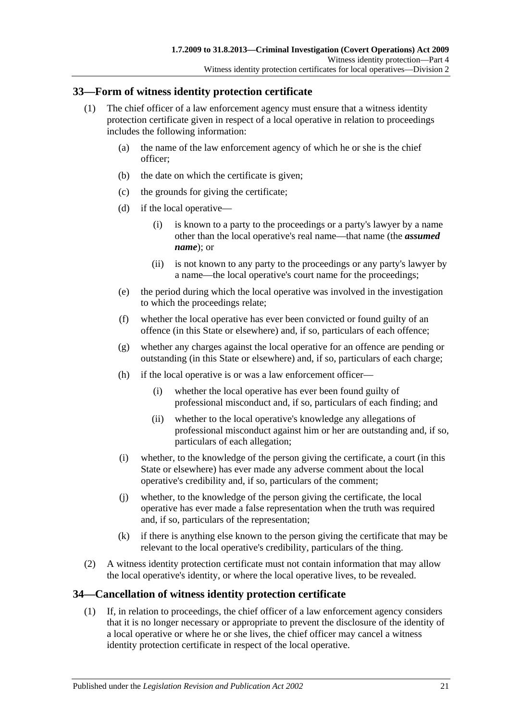### <span id="page-20-0"></span>**33—Form of witness identity protection certificate**

- <span id="page-20-2"></span>(1) The chief officer of a law enforcement agency must ensure that a witness identity protection certificate given in respect of a local operative in relation to proceedings includes the following information:
	- (a) the name of the law enforcement agency of which he or she is the chief officer;
	- (b) the date on which the certificate is given;
	- (c) the grounds for giving the certificate;
	- (d) if the local operative—
		- (i) is known to a party to the proceedings or a party's lawyer by a name other than the local operative's real name—that name (the *assumed name*); or
		- (ii) is not known to any party to the proceedings or any party's lawyer by a name—the local operative's court name for the proceedings;
	- (e) the period during which the local operative was involved in the investigation to which the proceedings relate;
	- (f) whether the local operative has ever been convicted or found guilty of an offence (in this State or elsewhere) and, if so, particulars of each offence;
	- (g) whether any charges against the local operative for an offence are pending or outstanding (in this State or elsewhere) and, if so, particulars of each charge;
	- (h) if the local operative is or was a law enforcement officer—
		- (i) whether the local operative has ever been found guilty of professional misconduct and, if so, particulars of each finding; and
		- (ii) whether to the local operative's knowledge any allegations of professional misconduct against him or her are outstanding and, if so, particulars of each allegation;
	- (i) whether, to the knowledge of the person giving the certificate, a court (in this State or elsewhere) has ever made any adverse comment about the local operative's credibility and, if so, particulars of the comment;
	- (j) whether, to the knowledge of the person giving the certificate, the local operative has ever made a false representation when the truth was required and, if so, particulars of the representation;
	- (k) if there is anything else known to the person giving the certificate that may be relevant to the local operative's credibility, particulars of the thing.
- (2) A witness identity protection certificate must not contain information that may allow the local operative's identity, or where the local operative lives, to be revealed.

## <span id="page-20-1"></span>**34—Cancellation of witness identity protection certificate**

(1) If, in relation to proceedings, the chief officer of a law enforcement agency considers that it is no longer necessary or appropriate to prevent the disclosure of the identity of a local operative or where he or she lives, the chief officer may cancel a witness identity protection certificate in respect of the local operative.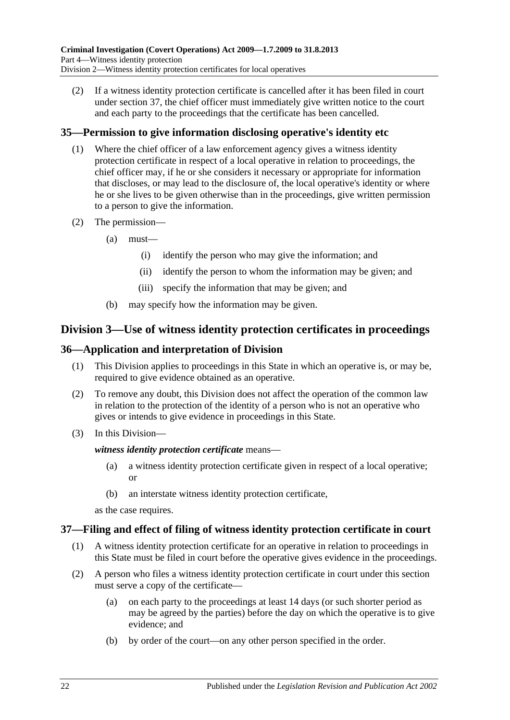(2) If a witness identity protection certificate is cancelled after it has been filed in court under [section](#page-21-3) 37, the chief officer must immediately give written notice to the court and each party to the proceedings that the certificate has been cancelled.

## <span id="page-21-0"></span>**35—Permission to give information disclosing operative's identity etc**

- (1) Where the chief officer of a law enforcement agency gives a witness identity protection certificate in respect of a local operative in relation to proceedings, the chief officer may, if he or she considers it necessary or appropriate for information that discloses, or may lead to the disclosure of, the local operative's identity or where he or she lives to be given otherwise than in the proceedings, give written permission to a person to give the information.
- (2) The permission—
	- (a) must—
		- (i) identify the person who may give the information; and
		- (ii) identify the person to whom the information may be given; and
		- (iii) specify the information that may be given; and
	- (b) may specify how the information may be given.

## <span id="page-21-1"></span>**Division 3—Use of witness identity protection certificates in proceedings**

#### <span id="page-21-2"></span>**36—Application and interpretation of Division**

- (1) This Division applies to proceedings in this State in which an operative is, or may be, required to give evidence obtained as an operative.
- (2) To remove any doubt, this Division does not affect the operation of the common law in relation to the protection of the identity of a person who is not an operative who gives or intends to give evidence in proceedings in this State.
- (3) In this Division—

#### *witness identity protection certificate* means—

- (a) a witness identity protection certificate given in respect of a local operative; or
- (b) an interstate witness identity protection certificate,

as the case requires.

#### <span id="page-21-3"></span>**37—Filing and effect of filing of witness identity protection certificate in court**

- (1) A witness identity protection certificate for an operative in relation to proceedings in this State must be filed in court before the operative gives evidence in the proceedings.
- (2) A person who files a witness identity protection certificate in court under this section must serve a copy of the certificate—
	- (a) on each party to the proceedings at least 14 days (or such shorter period as may be agreed by the parties) before the day on which the operative is to give evidence; and
	- (b) by order of the court—on any other person specified in the order.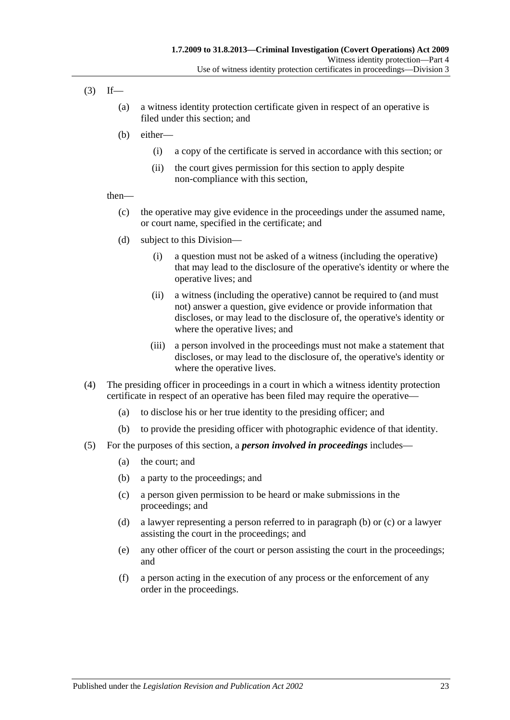- $(3)$  If—
	- (a) a witness identity protection certificate given in respect of an operative is filed under this section; and
	- (b) either—
		- (i) a copy of the certificate is served in accordance with this section; or
		- (ii) the court gives permission for this section to apply despite non-compliance with this section,

#### then—

- (c) the operative may give evidence in the proceedings under the assumed name, or court name, specified in the certificate; and
- (d) subject to this Division—
	- (i) a question must not be asked of a witness (including the operative) that may lead to the disclosure of the operative's identity or where the operative lives; and
	- (ii) a witness (including the operative) cannot be required to (and must not) answer a question, give evidence or provide information that discloses, or may lead to the disclosure of, the operative's identity or where the operative lives; and
	- (iii) a person involved in the proceedings must not make a statement that discloses, or may lead to the disclosure of, the operative's identity or where the operative lives.
- (4) The presiding officer in proceedings in a court in which a witness identity protection certificate in respect of an operative has been filed may require the operative—
	- (a) to disclose his or her true identity to the presiding officer; and
	- (b) to provide the presiding officer with photographic evidence of that identity.
- <span id="page-22-1"></span><span id="page-22-0"></span>(5) For the purposes of this section, a *person involved in proceedings* includes—
	- (a) the court; and
	- (b) a party to the proceedings; and
	- (c) a person given permission to be heard or make submissions in the proceedings; and
	- (d) a lawyer representing a person referred to in [paragraph](#page-22-0) (b) or [\(c\)](#page-22-1) or a lawyer assisting the court in the proceedings; and
	- (e) any other officer of the court or person assisting the court in the proceedings; and
	- (f) a person acting in the execution of any process or the enforcement of any order in the proceedings.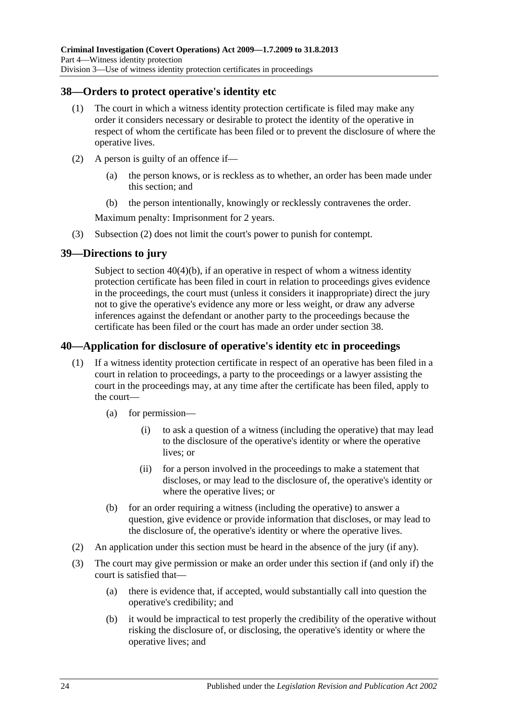### <span id="page-23-0"></span>**38—Orders to protect operative's identity etc**

- (1) The court in which a witness identity protection certificate is filed may make any order it considers necessary or desirable to protect the identity of the operative in respect of whom the certificate has been filed or to prevent the disclosure of where the operative lives.
- <span id="page-23-3"></span>(2) A person is guilty of an offence if—
	- (a) the person knows, or is reckless as to whether, an order has been made under this section; and
	- (b) the person intentionally, knowingly or recklessly contravenes the order.

Maximum penalty: Imprisonment for 2 years.

(3) [Subsection \(2\)](#page-23-3) does not limit the court's power to punish for contempt.

#### <span id="page-23-1"></span>**39—Directions to jury**

Subject to section [40\(4\)\(b\),](#page-24-1) if an operative in respect of whom a witness identity protection certificate has been filed in court in relation to proceedings gives evidence in the proceedings, the court must (unless it considers it inappropriate) direct the jury not to give the operative's evidence any more or less weight, or draw any adverse inferences against the defendant or another party to the proceedings because the certificate has been filed or the court has made an order under [section](#page-23-0) 38.

## <span id="page-23-2"></span>**40—Application for disclosure of operative's identity etc in proceedings**

- (1) If a witness identity protection certificate in respect of an operative has been filed in a court in relation to proceedings, a party to the proceedings or a lawyer assisting the court in the proceedings may, at any time after the certificate has been filed, apply to the court—
	- (a) for permission—
		- (i) to ask a question of a witness (including the operative) that may lead to the disclosure of the operative's identity or where the operative lives; or
		- (ii) for a person involved in the proceedings to make a statement that discloses, or may lead to the disclosure of, the operative's identity or where the operative lives; or
	- (b) for an order requiring a witness (including the operative) to answer a question, give evidence or provide information that discloses, or may lead to the disclosure of, the operative's identity or where the operative lives.
- (2) An application under this section must be heard in the absence of the jury (if any).
- (3) The court may give permission or make an order under this section if (and only if) the court is satisfied that—
	- (a) there is evidence that, if accepted, would substantially call into question the operative's credibility; and
	- (b) it would be impractical to test properly the credibility of the operative without risking the disclosure of, or disclosing, the operative's identity or where the operative lives; and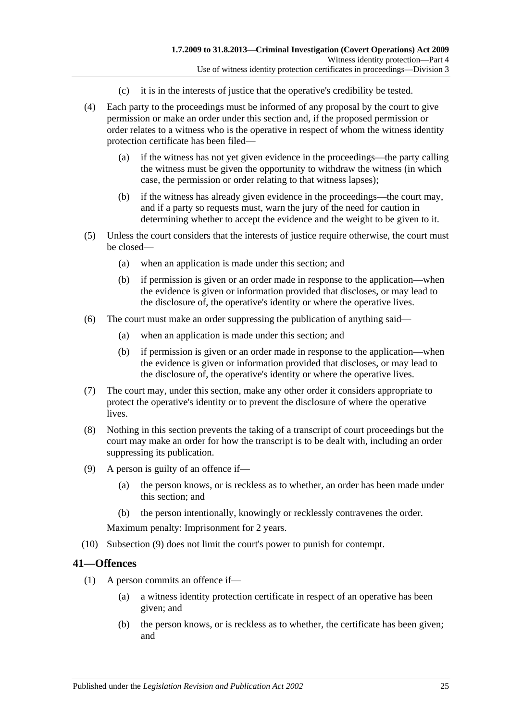- (c) it is in the interests of justice that the operative's credibility be tested.
- (4) Each party to the proceedings must be informed of any proposal by the court to give permission or make an order under this section and, if the proposed permission or order relates to a witness who is the operative in respect of whom the witness identity protection certificate has been filed—
	- (a) if the witness has not yet given evidence in the proceedings—the party calling the witness must be given the opportunity to withdraw the witness (in which case, the permission or order relating to that witness lapses);
	- (b) if the witness has already given evidence in the proceedings—the court may, and if a party so requests must, warn the jury of the need for caution in determining whether to accept the evidence and the weight to be given to it.
- <span id="page-24-1"></span>(5) Unless the court considers that the interests of justice require otherwise, the court must be closed—
	- (a) when an application is made under this section; and
	- (b) if permission is given or an order made in response to the application—when the evidence is given or information provided that discloses, or may lead to the disclosure of, the operative's identity or where the operative lives.
- (6) The court must make an order suppressing the publication of anything said—
	- (a) when an application is made under this section; and
	- (b) if permission is given or an order made in response to the application—when the evidence is given or information provided that discloses, or may lead to the disclosure of, the operative's identity or where the operative lives.
- (7) The court may, under this section, make any other order it considers appropriate to protect the operative's identity or to prevent the disclosure of where the operative lives.
- (8) Nothing in this section prevents the taking of a transcript of court proceedings but the court may make an order for how the transcript is to be dealt with, including an order suppressing its publication.
- <span id="page-24-2"></span>(9) A person is guilty of an offence if—
	- (a) the person knows, or is reckless as to whether, an order has been made under this section; and
	- (b) the person intentionally, knowingly or recklessly contravenes the order.

Maximum penalty: Imprisonment for 2 years.

(10) [Subsection \(9\)](#page-24-2) does not limit the court's power to punish for contempt.

#### <span id="page-24-3"></span><span id="page-24-0"></span>**41—Offences**

- (1) A person commits an offence if—
	- (a) a witness identity protection certificate in respect of an operative has been given; and
	- (b) the person knows, or is reckless as to whether, the certificate has been given; and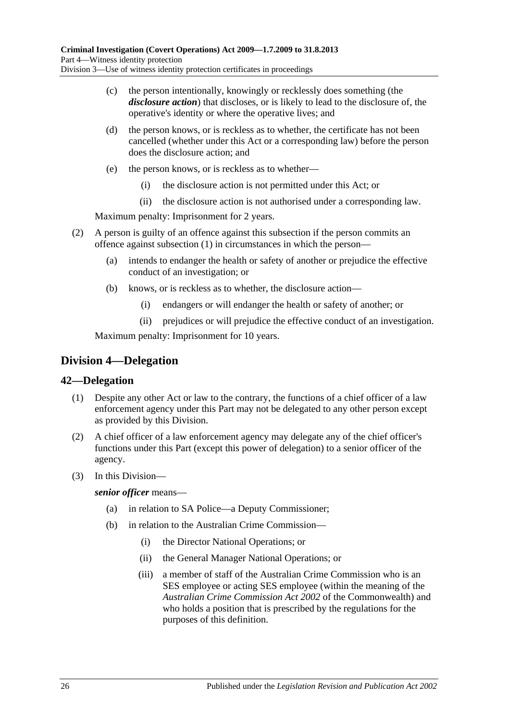- (c) the person intentionally, knowingly or recklessly does something (the *disclosure action*) that discloses, or is likely to lead to the disclosure of, the operative's identity or where the operative lives; and
- (d) the person knows, or is reckless as to whether, the certificate has not been cancelled (whether under this Act or a corresponding law) before the person does the disclosure action; and
- (e) the person knows, or is reckless as to whether—
	- (i) the disclosure action is not permitted under this Act; or
	- (ii) the disclosure action is not authorised under a corresponding law.

Maximum penalty: Imprisonment for 2 years.

- (2) A person is guilty of an offence against this subsection if the person commits an offence against [subsection](#page-24-3) (1) in circumstances in which the person—
	- (a) intends to endanger the health or safety of another or prejudice the effective conduct of an investigation; or
	- (b) knows, or is reckless as to whether, the disclosure action—
		- (i) endangers or will endanger the health or safety of another; or
		- (ii) prejudices or will prejudice the effective conduct of an investigation.

Maximum penalty: Imprisonment for 10 years.

## <span id="page-25-0"></span>**Division 4—Delegation**

#### <span id="page-25-1"></span>**42—Delegation**

- (1) Despite any other Act or law to the contrary, the functions of a chief officer of a law enforcement agency under this Part may not be delegated to any other person except as provided by this Division.
- (2) A chief officer of a law enforcement agency may delegate any of the chief officer's functions under this Part (except this power of delegation) to a senior officer of the agency.
- (3) In this Division—

*senior officer* means—

- (a) in relation to SA Police—a Deputy Commissioner;
- (b) in relation to the Australian Crime Commission—
	- (i) the Director National Operations; or
	- (ii) the General Manager National Operations; or
	- (iii) a member of staff of the Australian Crime Commission who is an SES employee or acting SES employee (within the meaning of the *Australian Crime Commission Act 2002* of the Commonwealth) and who holds a position that is prescribed by the regulations for the purposes of this definition.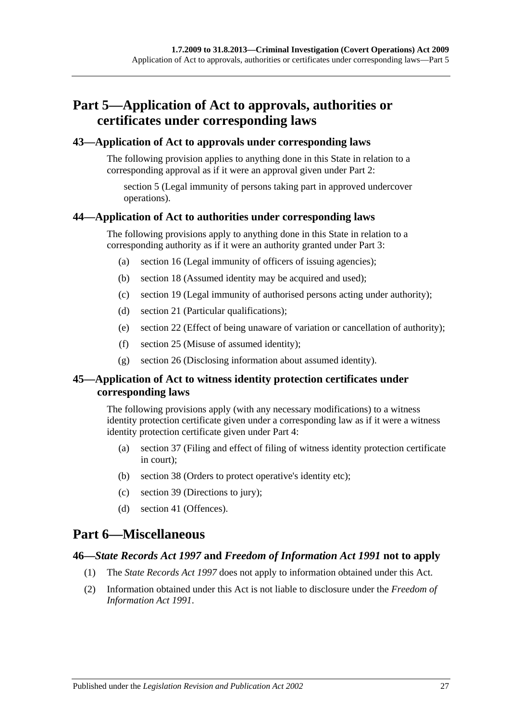## <span id="page-26-0"></span>**Part 5—Application of Act to approvals, authorities or certificates under corresponding laws**

#### <span id="page-26-1"></span>**43—Application of Act to approvals under corresponding laws**

The following provision applies to anything done in this State in relation to a corresponding approval as if it were an approval given under [Part 2:](#page-6-0)

[section](#page-7-0) 5 (Legal immunity of persons taking part in approved undercover operations).

#### <span id="page-26-2"></span>**44—Application of Act to authorities under corresponding laws**

The following provisions apply to anything done in this State in relation to a corresponding authority as if it were an authority granted under [Part 3:](#page-8-0)

- (a) [section](#page-12-3) 16 (Legal immunity of officers of issuing agencies);
- (b) [section](#page-13-2) 18 (Assumed identity may be acquired and used);
- (c) [section](#page-13-3) 19 (Legal immunity of authorised persons acting under authority);
- (d) [section](#page-14-0) 21 (Particular qualifications);
- (e) [section](#page-14-1) 22 (Effect of being unaware of variation or cancellation of authority);
- (f) [section](#page-15-2) 25 (Misuse of assumed identity);
- (g) [section](#page-16-0) 26 (Disclosing information about assumed identity).

#### <span id="page-26-3"></span>**45—Application of Act to witness identity protection certificates under corresponding laws**

The following provisions apply (with any necessary modifications) to a witness identity protection certificate given under a corresponding law as if it were a witness identity protection certificate given under [Part 4:](#page-18-0)

- (a) [section](#page-21-3) 37 (Filing and effect of filing of witness identity protection certificate in court);
- (b) [section](#page-23-0) 38 (Orders to protect operative's identity etc);
- (c) [section](#page-23-1) 39 (Directions to jury);
- (d) [section](#page-24-0) 41 (Offences).

## <span id="page-26-4"></span>**Part 6—Miscellaneous**

#### <span id="page-26-5"></span>**46—***State Records Act 1997* **and** *Freedom of Information Act 1991* **not to apply**

- (1) The *[State Records Act](http://www.legislation.sa.gov.au/index.aspx?action=legref&type=act&legtitle=State%20Records%20Act%201997) 1997* does not apply to information obtained under this Act.
- (2) Information obtained under this Act is not liable to disclosure under the *[Freedom of](http://www.legislation.sa.gov.au/index.aspx?action=legref&type=act&legtitle=Freedom%20of%20Information%20Act%201991)  [Information Act](http://www.legislation.sa.gov.au/index.aspx?action=legref&type=act&legtitle=Freedom%20of%20Information%20Act%201991) 1991*.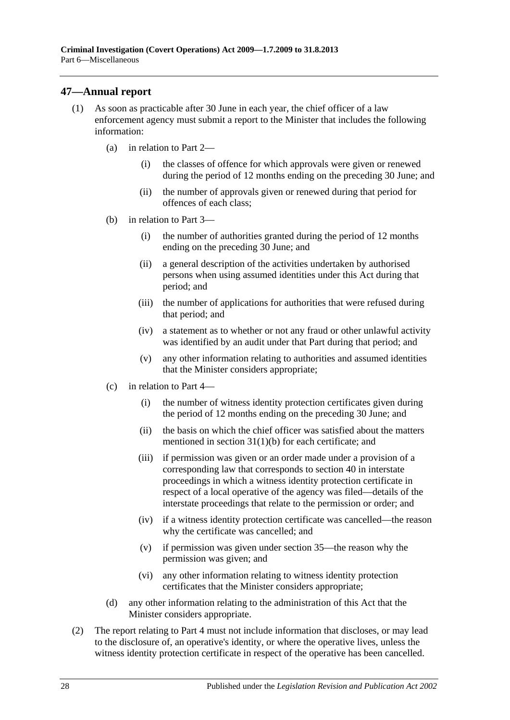## <span id="page-27-0"></span>**47—Annual report**

- (1) As soon as practicable after 30 June in each year, the chief officer of a law enforcement agency must submit a report to the Minister that includes the following information:
	- (a) in relation to [Part 2—](#page-6-0)
		- (i) the classes of offence for which approvals were given or renewed during the period of 12 months ending on the preceding 30 June; and
		- (ii) the number of approvals given or renewed during that period for offences of each class;
	- (b) in relation to [Part 3—](#page-8-0)
		- (i) the number of authorities granted during the period of 12 months ending on the preceding 30 June; and
		- (ii) a general description of the activities undertaken by authorised persons when using assumed identities under this Act during that period; and
		- (iii) the number of applications for authorities that were refused during that period; and
		- (iv) a statement as to whether or not any fraud or other unlawful activity was identified by an audit under that Part during that period; and
		- (v) any other information relating to authorities and assumed identities that the Minister considers appropriate;
	- (c) in relation to [Part 4—](#page-18-0)
		- (i) the number of witness identity protection certificates given during the period of 12 months ending on the preceding 30 June; and
		- (ii) the basis on which the chief officer was satisfied about the matters mentioned in section [31\(1\)\(b\)](#page-18-5) for each certificate; and
		- (iii) if permission was given or an order made under a provision of a corresponding law that corresponds to [section](#page-23-2) 40 in interstate proceedings in which a witness identity protection certificate in respect of a local operative of the agency was filed—details of the interstate proceedings that relate to the permission or order; and
		- (iv) if a witness identity protection certificate was cancelled—the reason why the certificate was cancelled; and
		- (v) if permission was given under [section](#page-21-0) 35—the reason why the permission was given; and
		- (vi) any other information relating to witness identity protection certificates that the Minister considers appropriate;
	- (d) any other information relating to the administration of this Act that the Minister considers appropriate.
- (2) The report relating to [Part 4](#page-18-0) must not include information that discloses, or may lead to the disclosure of, an operative's identity, or where the operative lives, unless the witness identity protection certificate in respect of the operative has been cancelled.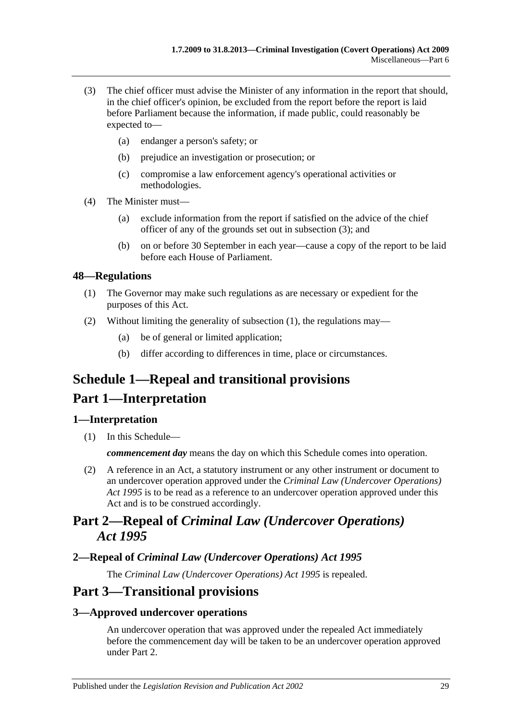- <span id="page-28-5"></span>(3) The chief officer must advise the Minister of any information in the report that should, in the chief officer's opinion, be excluded from the report before the report is laid before Parliament because the information, if made public, could reasonably be expected to—
	- (a) endanger a person's safety; or
	- (b) prejudice an investigation or prosecution; or
	- (c) compromise a law enforcement agency's operational activities or methodologies.
- (4) The Minister must—
	- (a) exclude information from the report if satisfied on the advice of the chief officer of any of the grounds set out in [subsection](#page-28-5) (3); and
	- (b) on or before 30 September in each year—cause a copy of the report to be laid before each House of Parliament.

#### <span id="page-28-6"></span><span id="page-28-0"></span>**48—Regulations**

- (1) The Governor may make such regulations as are necessary or expedient for the purposes of this Act.
- (2) Without limiting the generality of [subsection](#page-28-6) (1), the regulations may—
	- (a) be of general or limited application;
	- (b) differ according to differences in time, place or circumstances.

# <span id="page-28-1"></span>**Schedule 1—Repeal and transitional provisions**

## **Part 1—Interpretation**

#### <span id="page-28-2"></span>**1—Interpretation**

(1) In this Schedule—

*commencement day* means the day on which this Schedule comes into operation.

(2) A reference in an Act, a statutory instrument or any other instrument or document to an undercover operation approved under the *[Criminal Law \(Undercover Operations\)](http://www.legislation.sa.gov.au/index.aspx?action=legref&type=act&legtitle=Criminal%20Law%20(Undercover%20Operations)%20Act%201995)  Act [1995](http://www.legislation.sa.gov.au/index.aspx?action=legref&type=act&legtitle=Criminal%20Law%20(Undercover%20Operations)%20Act%201995)* is to be read as a reference to an undercover operation approved under this Act and is to be construed accordingly.

## **Part 2—Repeal of** *Criminal Law (Undercover Operations) Act 1995*

#### <span id="page-28-3"></span>**2—Repeal of** *Criminal Law (Undercover Operations) Act 1995*

The *[Criminal Law \(Undercover Operations\) Act](http://www.legislation.sa.gov.au/index.aspx?action=legref&type=act&legtitle=Criminal%20Law%20(Undercover%20Operations)%20Act%201995) 1995* is repealed.

## **Part 3—Transitional provisions**

#### <span id="page-28-4"></span>**3—Approved undercover operations**

An undercover operation that was approved under the repealed Act immediately before the commencement day will be taken to be an undercover operation approved under [Part 2.](#page-6-0)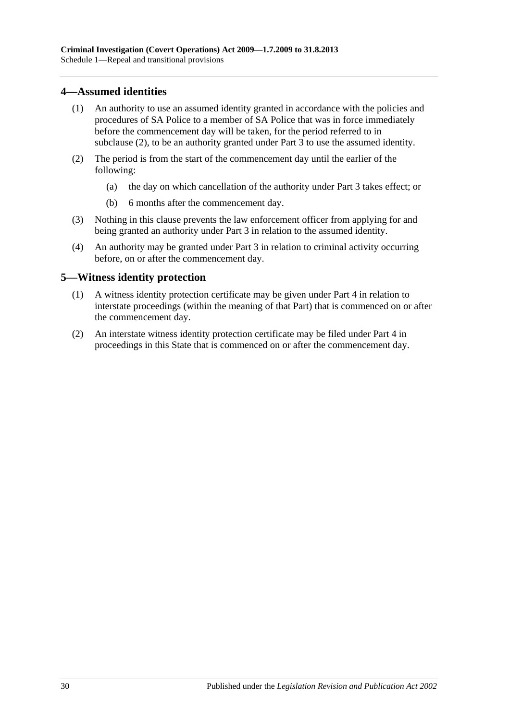#### <span id="page-29-0"></span>**4—Assumed identities**

- (1) An authority to use an assumed identity granted in accordance with the policies and procedures of SA Police to a member of SA Police that was in force immediately before the commencement day will be taken, for the period referred to in [subclause](#page-29-2) (2), to be an authority granted under [Part 3](#page-8-0) to use the assumed identity.
- <span id="page-29-2"></span>(2) The period is from the start of the commencement day until the earlier of the following:
	- (a) the day on which cancellation of the authority under [Part 3](#page-8-0) takes effect; or
	- (b) 6 months after the commencement day.
- (3) Nothing in this clause prevents the law enforcement officer from applying for and being granted an authority under [Part 3](#page-8-0) in relation to the assumed identity.
- (4) An authority may be granted under [Part 3](#page-8-0) in relation to criminal activity occurring before, on or after the commencement day.

#### <span id="page-29-1"></span>**5—Witness identity protection**

- (1) A witness identity protection certificate may be given under [Part 4](#page-18-0) in relation to interstate proceedings (within the meaning of that Part) that is commenced on or after the commencement day.
- (2) An interstate witness identity protection certificate may be filed under [Part 4](#page-18-0) in proceedings in this State that is commenced on or after the commencement day.